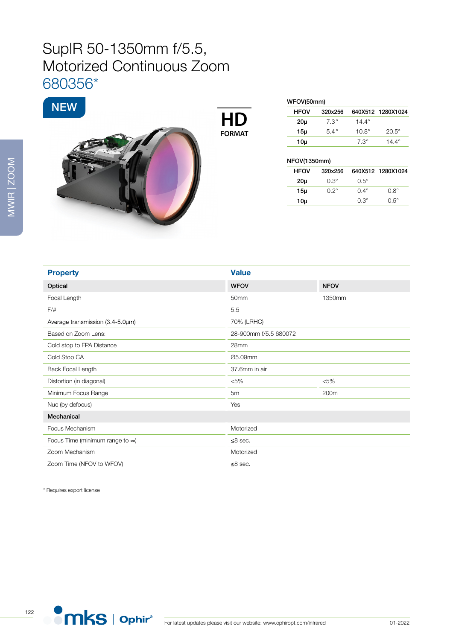## SupIR 50-1350mm f/5.5, Motorized Continuous Zoom 680356\*



| <b>FORMAT</b> |  |
|---------------|--|

| WFOV(50mm)      |             |              |                   |  |
|-----------------|-------------|--------------|-------------------|--|
| <b>HFOV</b>     | 320x256     |              | 640X512 1280X1024 |  |
| 20 <sub>µ</sub> | $7.3^\circ$ | $14.4^\circ$ |                   |  |
| 15µ             | $5.4^\circ$ | $10.8^\circ$ | $20.5^\circ$      |  |
| 10µ             |             | $7.3^\circ$  | 14.4 $^{\circ}$   |  |
|                 |             |              |                   |  |

## NFOV(1350mm)

| <b>HFOV</b>     | 320x256     |             | 640X512 1280X1024 |
|-----------------|-------------|-------------|-------------------|
| 20u             | $0.3^\circ$ | $0.5^\circ$ |                   |
| 15µ             | $0.2^\circ$ | $0.4^\circ$ | n R°              |
| 10 <sub>µ</sub> |             | $0.3^\circ$ | $0.5^\circ$       |
|                 |             |             |                   |

| <b>Property</b>                         | <b>Value</b>          |             |
|-----------------------------------------|-----------------------|-------------|
| Optical                                 | <b>WFOV</b>           | <b>NFOV</b> |
| Focal Length                            | 50mm                  | 1350mm      |
| $F/\ddot{}$                             | 5.5                   |             |
| Average transmission (3.4-5.0um)        | 70% (LRHC)            |             |
| Based on Zoom Lens:                     | 28-900mm f/5.5 680072 |             |
| Cold stop to FPA Distance               | 28mm                  |             |
| Cold Stop CA                            | Ø5.09mm               |             |
| Back Focal Length                       | 37.6mm in air         |             |
| Distortion (in diagonal)                | $< 5\%$               | $< 5\%$     |
| Minimum Focus Range                     | 5m                    | 200m        |
| Nuc (by defocus)                        | Yes                   |             |
| Mechanical                              |                       |             |
| Focus Mechanism                         | Motorized             |             |
| Focus Time (minimum range to $\infty$ ) | $\leq$ 8 sec.         |             |
| Zoom Mechanism                          | Motorized             |             |
| Zoom Time (NFOV to WFOV)                | $\leq$ 8 sec.         |             |

\* Requires export license